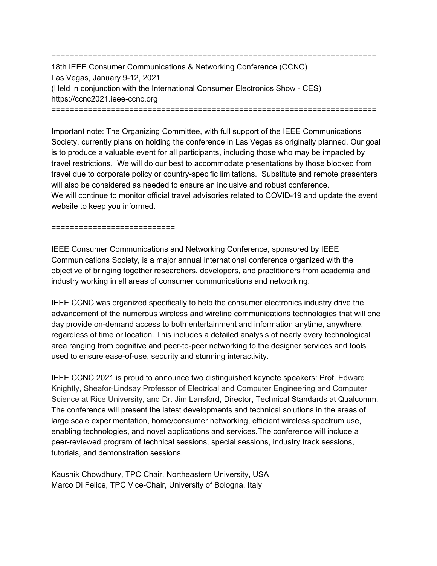======================================================================= 18th IEEE Consumer Communications & Networking Conference (CCNC) Las Vegas, January 9-12, 2021 (Held in conjunction with the International Consumer Electronics Show - CES) https://ccnc2021.ieee-ccnc.org =======================================================================

Important note: The Organizing Committee, with full support of the IEEE Communications Society, currently plans on holding the conference in Las Vegas as originally planned. Our goal is to produce a valuable event for all participants, including those who may be impacted by travel restrictions. We will do our best to accommodate presentations by those blocked from travel due to corporate policy or country-specific limitations. Substitute and remote presenters will also be considered as needed to ensure an inclusive and robust conference. We will continue to monitor official travel advisories related to COVID-19 and update the event website to keep you informed.

## ==============================

IEEE Consumer Communications and Networking Conference, sponsored by IEEE Communications Society, is a major annual international conference organized with the objective of bringing together researchers, developers, and practitioners from academia and industry working in all areas of consumer communications and networking.

IEEE CCNC was organized specifically to help the consumer electronics industry drive the advancement of the numerous wireless and wireline communications technologies that will one day provide on-demand access to both entertainment and information anytime, anywhere, regardless of time or location. This includes a detailed analysis of nearly every technological area ranging from cognitive and peer-to-peer networking to the designer services and tools used to ensure ease-of-use, security and stunning interactivity.

IEEE CCNC 2021 is proud to announce two distinguished keynote speakers: Prof. Edward Knightly, Sheafor-Lindsay Professor of Electrical and Computer Engineering and Computer Science at Rice University, and Dr. Jim Lansford, Director, Technical Standards at Qualcomm. The conference will present the latest developments and technical solutions in the areas of large scale experimentation, home/consumer networking, efficient wireless spectrum use, enabling technologies, and novel applications and services.The conference will include a peer-reviewed program of technical sessions, special sessions, industry track sessions, tutorials, and demonstration sessions.

Kaushik Chowdhury, TPC Chair, Northeastern University, USA Marco Di Felice, TPC Vice-Chair, University of Bologna, Italy